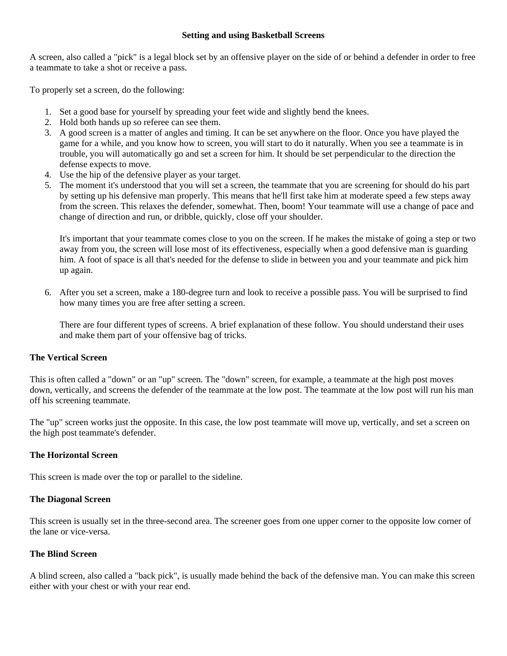#### **Setting and using Basketball Screens**

A screen, also called a "pick" is a legal block set by an offensive player on the side of or behind a defender in order to free a teammate to take a shot or receive a pass.

To properly set a screen, do the following:

- 1. Set a good base for yourself by spreading your feet wide and slightly bend the knees.
- 2. Hold both hands up so referee can see them.
- 3. A good screen is a matter of angles and timing. It can be set anywhere on the floor. Once you have played the game for a while, and you know how to screen, you will start to do it naturally. When you see a teammate is in trouble, you will automatically go and set a screen for him. It should be set perpendicular to the direction the defense expects to move.
- 4. Use the hip of the defensive player as your target.
- 5. The moment it's understood that you will set a screen, the teammate that you are screening for should do his part by setting up his defensive man properly. This means that he'll first take him at moderate speed a few steps away from the screen. This relaxes the defender, somewhat. Then, boom! Your teammate will use a change of pace and change of direction and run, or dribble, quickly, close off your shoulder.

It's important that your teammate comes close to you on the screen. If he makes the mistake of going a step or two away from you, the screen will lose most of its effectiveness, especially when a good defensive man is guarding him. A foot of space is all that's needed for the defense to slide in between you and your teammate and pick him up again.

6. After you set a screen, make a 180-degree turn and look to receive a possible pass. You will be surprised to find how many times you are free after setting a screen.

There are four different types of screens. A brief explanation of these follow. You should understand their uses and make them part of your offensive bag of tricks.

## **The Vertical Screen**

This is often called a "down" or an "up" screen. The "down" screen, for example, a teammate at the high post moves down, vertically, and screens the defender of the teammate at the low post. The teammate at the low post will run his man off his screening teammate.

The "up" screen works just the opposite. In this case, the low post teammate will move up, vertically, and set a screen on the high post teammate's defender.

## **The Horizontal Screen**

This screen is made over the top or parallel to the sideline.

## **The Diagonal Screen**

This screen is usually set in the three-second area. The screener goes from one upper corner to the opposite low corner of the lane or vice-versa.

## **The Blind Screen**

A blind screen, also called a "back pick", is usually made behind the back of the defensive man. You can make this screen either with your chest or with your rear end.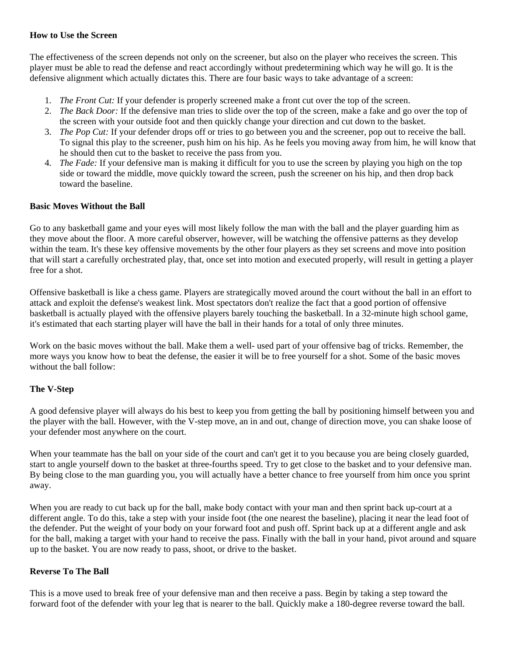## **How to Use the Screen**

The effectiveness of the screen depends not only on the screener, but also on the player who receives the screen. This player must be able to read the defense and react accordingly without predetermining which way he will go. It is the defensive alignment which actually dictates this. There are four basic ways to take advantage of a screen:

- 1. *The Front Cut:* If your defender is properly screened make a front cut over the top of the screen.
- 2. *The Back Door:* If the defensive man tries to slide over the top of the screen, make a fake and go over the top of the screen with your outside foot and then quickly change your direction and cut down to the basket.
- 3. *The Pop Cut:* If your defender drops off or tries to go between you and the screener, pop out to receive the ball. To signal this play to the screener, push him on his hip. As he feels you moving away from him, he will know that he should then cut to the basket to receive the pass from you.
- 4. *The Fade:* If your defensive man is making it difficult for you to use the screen by playing you high on the top side or toward the middle, move quickly toward the screen, push the screener on his hip, and then drop back toward the baseline.

## **Basic Moves Without the Ball**

Go to any basketball game and your eyes will most likely follow the man with the ball and the player guarding him as they move about the floor. A more careful observer, however, will be watching the offensive patterns as they develop within the team. It's these key offensive movements by the other four players as they set screens and move into position that will start a carefully orchestrated play, that, once set into motion and executed properly, will result in getting a player free for a shot.

Offensive basketball is like a chess game. Players are strategically moved around the court without the ball in an effort to attack and exploit the defense's weakest link. Most spectators don't realize the fact that a good portion of offensive basketball is actually played with the offensive players barely touching the basketball. In a 32-minute high school game, it's estimated that each starting player will have the ball in their hands for a total of only three minutes.

Work on the basic moves without the ball. Make them a well- used part of your offensive bag of tricks. Remember, the more ways you know how to beat the defense, the easier it will be to free yourself for a shot. Some of the basic moves without the ball follow:

## **The V-Step**

A good defensive player will always do his best to keep you from getting the ball by positioning himself between you and the player with the ball. However, with the V-step move, an in and out, change of direction move, you can shake loose of your defender most anywhere on the court.

When your teammate has the ball on your side of the court and can't get it to you because you are being closely guarded, start to angle yourself down to the basket at three-fourths speed. Try to get close to the basket and to your defensive man. By being close to the man guarding you, you will actually have a better chance to free yourself from him once you sprint away.

When you are ready to cut back up for the ball, make body contact with your man and then sprint back up-court at a different angle. To do this, take a step with your inside foot (the one nearest the baseline), placing it near the lead foot of the defender. Put the weight of your body on your forward foot and push off. Sprint back up at a different angle and ask for the ball, making a target with your hand to receive the pass. Finally with the ball in your hand, pivot around and square up to the basket. You are now ready to pass, shoot, or drive to the basket.

## **Reverse To The Ball**

This is a move used to break free of your defensive man and then receive a pass. Begin by taking a step toward the forward foot of the defender with your leg that is nearer to the ball. Quickly make a 180-degree reverse toward the ball.